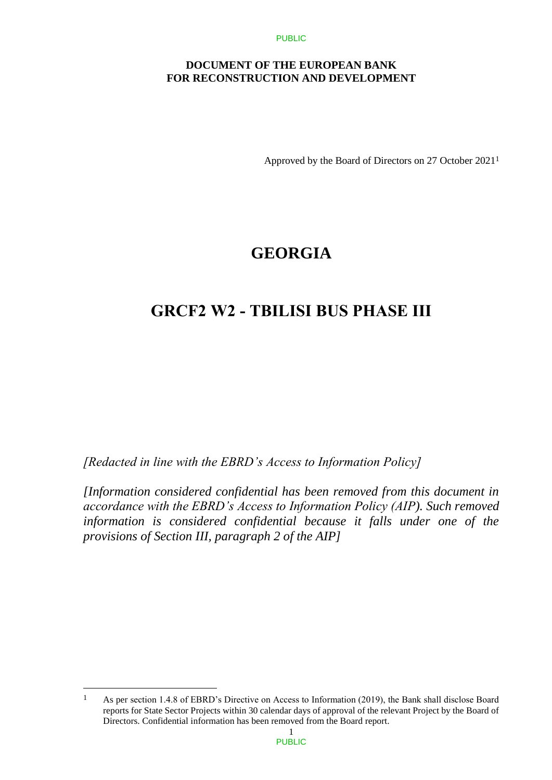### **DOCUMENT OF THE EUROPEAN BANK FOR RECONSTRUCTION AND DEVELOPMENT**

Approved by the Board of Directors on 27 October 2021<sup>1</sup>

# **GEORGIA**

# **GRCF2 W2 - TBILISI BUS PHASE III**

*[Redacted in line with the EBRD's Access to Information Policy]* 

*[Information considered confidential has been removed from this document in accordance with the EBRD's Access to Information Policy (AIP). Such removed information is considered confidential because it falls under one of the provisions of Section III, paragraph 2 of the AIP]*

 $\overline{a}$ 

<sup>1</sup> As per section 1.4.8 of EBRD's Directive on Access to Information (2019), the Bank shall disclose Board reports for State Sector Projects within 30 calendar days of approval of the relevant Project by the Board of Directors. Confidential information has been removed from the Board report.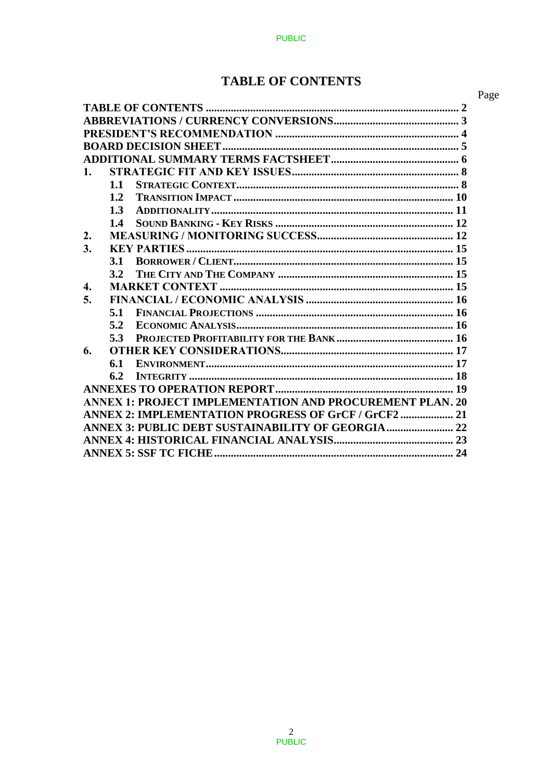# **TABLE OF CONTENTS**

|                  |     |                                                                 | Page |
|------------------|-----|-----------------------------------------------------------------|------|
|                  |     |                                                                 |      |
|                  |     |                                                                 |      |
|                  |     |                                                                 |      |
|                  |     |                                                                 |      |
|                  |     |                                                                 |      |
| $\mathbf{1}$ .   |     |                                                                 |      |
|                  | 1.1 |                                                                 |      |
|                  | 1.2 |                                                                 |      |
|                  | 1.3 |                                                                 |      |
|                  | 1.4 |                                                                 |      |
| 2.               |     |                                                                 |      |
| 3.               |     |                                                                 |      |
|                  | 3.1 |                                                                 |      |
|                  | 3.2 |                                                                 |      |
| $\overline{4}$ . |     |                                                                 |      |
| 5.               |     |                                                                 |      |
|                  | 5.1 |                                                                 |      |
|                  | 5.2 |                                                                 |      |
|                  | 5.3 |                                                                 |      |
| 6.               |     |                                                                 |      |
|                  | 6.1 |                                                                 |      |
|                  | 6.2 |                                                                 |      |
|                  |     |                                                                 |      |
|                  |     | <b>ANNEX 1: PROJECT IMPLEMENTATION AND PROCUREMENT PLAN. 20</b> |      |
|                  |     | ANNEX 2: IMPLEMENTATION PROGRESS OF GrCF / GrCF2  21            |      |
|                  |     | ANNEX 3: PUBLIC DEBT SUSTAINABILITY OF GEORGIA  22              |      |
|                  |     |                                                                 |      |
|                  |     |                                                                 |      |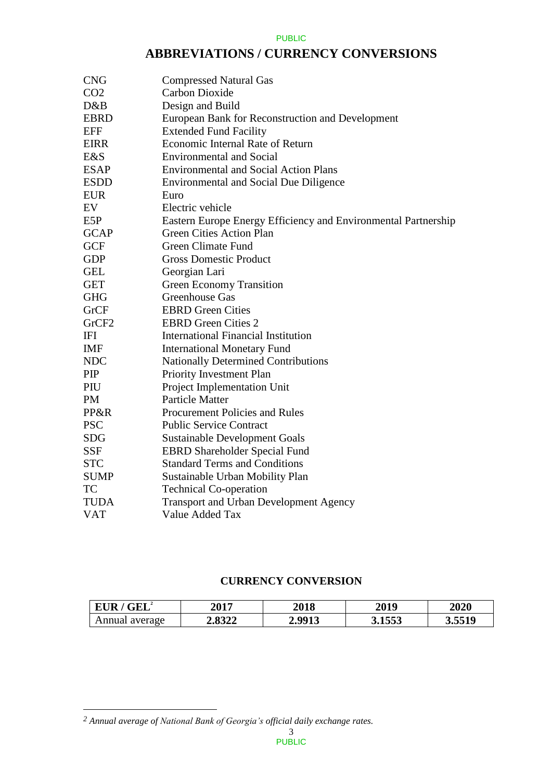## **ABBREVIATIONS / CURRENCY CONVERSIONS**

| <b>CNG</b>        | <b>Compressed Natural Gas</b>                                  |
|-------------------|----------------------------------------------------------------|
| CO <sub>2</sub>   | <b>Carbon Dioxide</b>                                          |
| D&B               | Design and Build                                               |
| <b>EBRD</b>       | European Bank for Reconstruction and Development               |
| <b>EFF</b>        | <b>Extended Fund Facility</b>                                  |
| <b>EIRR</b>       | Economic Internal Rate of Return                               |
| E&S               | <b>Environmental and Social</b>                                |
| <b>ESAP</b>       | <b>Environmental and Social Action Plans</b>                   |
| <b>ESDD</b>       | <b>Environmental and Social Due Diligence</b>                  |
| <b>EUR</b>        | Euro                                                           |
| EV                | Electric vehicle                                               |
| E5P               | Eastern Europe Energy Efficiency and Environmental Partnership |
| <b>GCAP</b>       | <b>Green Cities Action Plan</b>                                |
| <b>GCF</b>        | <b>Green Climate Fund</b>                                      |
| <b>GDP</b>        | <b>Gross Domestic Product</b>                                  |
| <b>GEL</b>        | Georgian Lari                                                  |
| <b>GET</b>        | <b>Green Economy Transition</b>                                |
| <b>GHG</b>        | Greenhouse Gas                                                 |
| GrCF              | <b>EBRD</b> Green Cities                                       |
| GrCF <sub>2</sub> | <b>EBRD</b> Green Cities 2                                     |
| IFI               | <b>International Financial Institution</b>                     |
| <b>IMF</b>        | <b>International Monetary Fund</b>                             |
| <b>NDC</b>        | <b>Nationally Determined Contributions</b>                     |
| PIP               | Priority Investment Plan                                       |
| PIU               | Project Implementation Unit                                    |
| <b>PM</b>         | <b>Particle Matter</b>                                         |
| PP&R              | Procurement Policies and Rules                                 |
| <b>PSC</b>        | <b>Public Service Contract</b>                                 |
| <b>SDG</b>        | <b>Sustainable Development Goals</b>                           |
| SSF               | <b>EBRD Shareholder Special Fund</b>                           |
| <b>STC</b>        | <b>Standard Terms and Conditions</b>                           |
| <b>SUMP</b>       | Sustainable Urban Mobility Plan                                |
| TC                | <b>Technical Co-operation</b>                                  |
| <b>TUDA</b>       | <b>Transport and Urban Development Agency</b>                  |
| <b>VAT</b>        | Value Added Tax                                                |
|                   |                                                                |

### **CURRENCY CONVERSION**

| <b>EUR</b><br>$\mathbf{GEL}^2$ | 2017   | <b>2018</b> | 2019   | <b>2020</b> |
|--------------------------------|--------|-------------|--------|-------------|
| Annual average                 | 2.8322 | 2 9913      | 3.1553 | 3.5519      |

 $\overline{a}$ 

*<sup>2</sup> Annual average of National Bank of Georgia's official daily exchange rates.*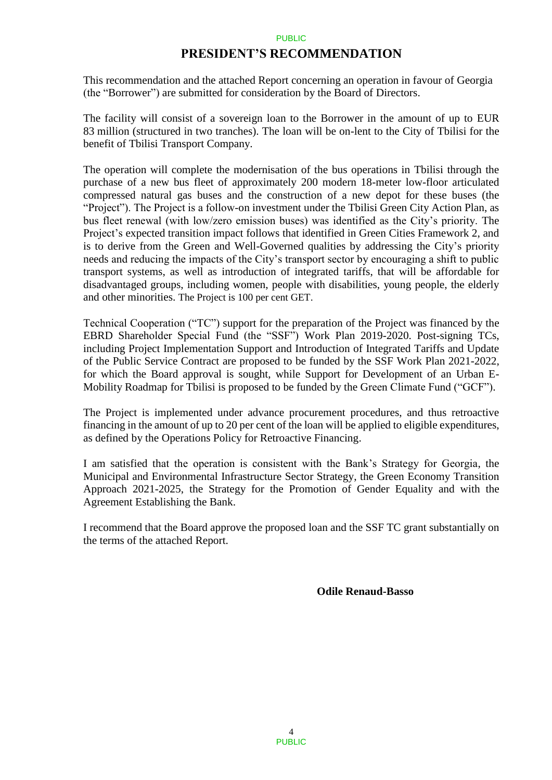## **PRESIDENT'S RECOMMENDATION**

This recommendation and the attached Report concerning an operation in favour of Georgia (the "Borrower") are submitted for consideration by the Board of Directors.

The facility will consist of a sovereign loan to the Borrower in the amount of up to EUR 83 million (structured in two tranches). The loan will be on-lent to the City of Tbilisi for the benefit of Tbilisi Transport Company.

The operation will complete the modernisation of the bus operations in Tbilisi through the purchase of a new bus fleet of approximately 200 modern 18-meter low-floor articulated compressed natural gas buses and the construction of a new depot for these buses (the "Project"). The Project is a follow-on investment under the Tbilisi Green City Action Plan, as bus fleet renewal (with low/zero emission buses) was identified as the City's priority. The Project's expected transition impact follows that identified in Green Cities Framework 2, and is to derive from the Green and Well-Governed qualities by addressing the City's priority needs and reducing the impacts of the City's transport sector by encouraging a shift to public transport systems, as well as introduction of integrated tariffs, that will be affordable for disadvantaged groups, including women, people with disabilities, young people, the elderly and other minorities. The Project is 100 per cent GET.

Technical Cooperation ("TC") support for the preparation of the Project was financed by the EBRD Shareholder Special Fund (the "SSF") Work Plan 2019-2020. Post-signing TCs, including Project Implementation Support and Introduction of Integrated Tariffs and Update of the Public Service Contract are proposed to be funded by the SSF Work Plan 2021-2022, for which the Board approval is sought, while Support for Development of an Urban E-Mobility Roadmap for Tbilisi is proposed to be funded by the Green Climate Fund ("GCF").

The Project is implemented under advance procurement procedures, and thus retroactive financing in the amount of up to 20 per cent of the loan will be applied to eligible expenditures, as defined by the Operations Policy for Retroactive Financing.

I am satisfied that the operation is consistent with the Bank's Strategy for Georgia, the Municipal and Environmental Infrastructure Sector Strategy, the Green Economy Transition Approach 2021-2025, the Strategy for the Promotion of Gender Equality and with the Agreement Establishing the Bank.

I recommend that the Board approve the proposed loan and the SSF TC grant substantially on the terms of the attached Report.

**Odile Renaud-Basso**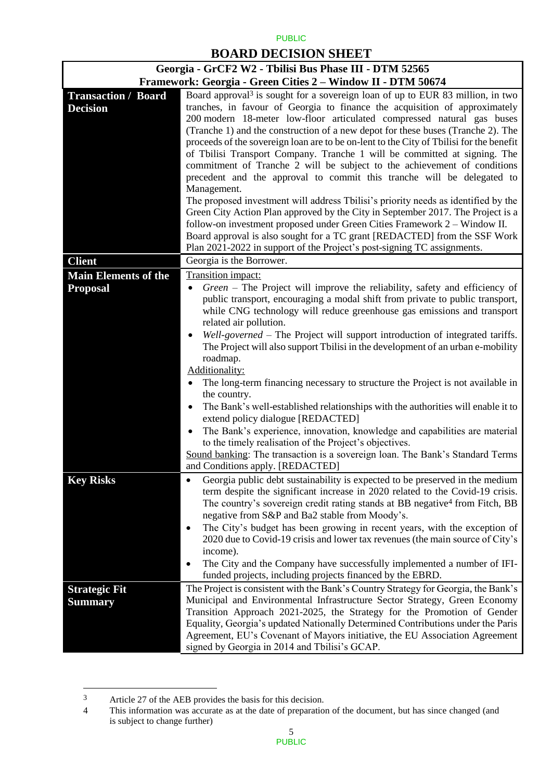## **BOARD DECISION SHEET**

| Georgia - GrCF2 W2 - Tbilisi Bus Phase III - DTM 52565                                                                                                                                                                                                                                                                                                                                                                                                                                                                                                                                                                                                                                                                                                                                                                                                                                                                                                                                                                                                                                                                                             |                                                                                                                                                                                                                                                                                                                                                                                                                                                                                                                                                                                                                                                                                                                                                                                                                                                                                                                                                                                                                            |  |  |  |
|----------------------------------------------------------------------------------------------------------------------------------------------------------------------------------------------------------------------------------------------------------------------------------------------------------------------------------------------------------------------------------------------------------------------------------------------------------------------------------------------------------------------------------------------------------------------------------------------------------------------------------------------------------------------------------------------------------------------------------------------------------------------------------------------------------------------------------------------------------------------------------------------------------------------------------------------------------------------------------------------------------------------------------------------------------------------------------------------------------------------------------------------------|----------------------------------------------------------------------------------------------------------------------------------------------------------------------------------------------------------------------------------------------------------------------------------------------------------------------------------------------------------------------------------------------------------------------------------------------------------------------------------------------------------------------------------------------------------------------------------------------------------------------------------------------------------------------------------------------------------------------------------------------------------------------------------------------------------------------------------------------------------------------------------------------------------------------------------------------------------------------------------------------------------------------------|--|--|--|
|                                                                                                                                                                                                                                                                                                                                                                                                                                                                                                                                                                                                                                                                                                                                                                                                                                                                                                                                                                                                                                                                                                                                                    | Framework: Georgia - Green Cities 2 – Window II - DTM 50674                                                                                                                                                                                                                                                                                                                                                                                                                                                                                                                                                                                                                                                                                                                                                                                                                                                                                                                                                                |  |  |  |
| Board approval <sup>3</sup> is sought for a sovereign loan of up to EUR 83 million, in two<br><b>Transaction / Board</b><br>tranches, in favour of Georgia to finance the acquisition of approximately<br><b>Decision</b><br>200 modern 18-meter low-floor articulated compressed natural gas buses<br>(Tranche 1) and the construction of a new depot for these buses (Tranche 2). The<br>proceeds of the sovereign loan are to be on-lent to the City of Tbilisi for the benefit<br>of Tbilisi Transport Company. Tranche 1 will be committed at signing. The<br>commitment of Tranche 2 will be subject to the achievement of conditions<br>precedent and the approval to commit this tranche will be delegated to<br>Management.<br>The proposed investment will address Tbilisi's priority needs as identified by the<br>Green City Action Plan approved by the City in September 2017. The Project is a<br>follow-on investment proposed under Green Cities Framework 2 – Window II.<br>Board approval is also sought for a TC grant [REDACTED] from the SSF Work<br>Plan 2021-2022 in support of the Project's post-signing TC assignments. |                                                                                                                                                                                                                                                                                                                                                                                                                                                                                                                                                                                                                                                                                                                                                                                                                                                                                                                                                                                                                            |  |  |  |
| <b>Client</b>                                                                                                                                                                                                                                                                                                                                                                                                                                                                                                                                                                                                                                                                                                                                                                                                                                                                                                                                                                                                                                                                                                                                      | Georgia is the Borrower.                                                                                                                                                                                                                                                                                                                                                                                                                                                                                                                                                                                                                                                                                                                                                                                                                                                                                                                                                                                                   |  |  |  |
| <b>Main Elements of the</b>                                                                                                                                                                                                                                                                                                                                                                                                                                                                                                                                                                                                                                                                                                                                                                                                                                                                                                                                                                                                                                                                                                                        | Transition impact:                                                                                                                                                                                                                                                                                                                                                                                                                                                                                                                                                                                                                                                                                                                                                                                                                                                                                                                                                                                                         |  |  |  |
| <b>Proposal</b>                                                                                                                                                                                                                                                                                                                                                                                                                                                                                                                                                                                                                                                                                                                                                                                                                                                                                                                                                                                                                                                                                                                                    | Green – The Project will improve the reliability, safety and efficiency of<br>$\bullet$<br>public transport, encouraging a modal shift from private to public transport,<br>while CNG technology will reduce greenhouse gas emissions and transport<br>related air pollution.<br>Well-governed - The Project will support introduction of integrated tariffs.<br>$\bullet$<br>The Project will also support Tbilisi in the development of an urban e-mobility<br>roadmap.<br>Additionality:<br>The long-term financing necessary to structure the Project is not available in<br>$\bullet$<br>the country.<br>The Bank's well-established relationships with the authorities will enable it to<br>$\bullet$<br>extend policy dialogue [REDACTED]<br>The Bank's experience, innovation, knowledge and capabilities are material<br>$\bullet$<br>to the timely realisation of the Project's objectives.<br>Sound banking: The transaction is a sovereign loan. The Bank's Standard Terms<br>and Conditions apply. [REDACTED] |  |  |  |
| <b>Key Risks</b>                                                                                                                                                                                                                                                                                                                                                                                                                                                                                                                                                                                                                                                                                                                                                                                                                                                                                                                                                                                                                                                                                                                                   | Georgia public debt sustainability is expected to be preserved in the medium<br>term despite the significant increase in 2020 related to the Covid-19 crisis.<br>The country's sovereign credit rating stands at BB negative <sup>4</sup> from Fitch, BB<br>negative from S&P and Ba2 stable from Moody's.<br>The City's budget has been growing in recent years, with the exception of<br>$\bullet$<br>2020 due to Covid-19 crisis and lower tax revenues (the main source of City's<br>income).<br>The City and the Company have successfully implemented a number of IFI-<br>٠<br>funded projects, including projects financed by the EBRD.                                                                                                                                                                                                                                                                                                                                                                             |  |  |  |
| <b>Strategic Fit</b>                                                                                                                                                                                                                                                                                                                                                                                                                                                                                                                                                                                                                                                                                                                                                                                                                                                                                                                                                                                                                                                                                                                               | The Project is consistent with the Bank's Country Strategy for Georgia, the Bank's                                                                                                                                                                                                                                                                                                                                                                                                                                                                                                                                                                                                                                                                                                                                                                                                                                                                                                                                         |  |  |  |
| <b>Summary</b>                                                                                                                                                                                                                                                                                                                                                                                                                                                                                                                                                                                                                                                                                                                                                                                                                                                                                                                                                                                                                                                                                                                                     | Municipal and Environmental Infrastructure Sector Strategy, Green Economy<br>Transition Approach 2021-2025, the Strategy for the Promotion of Gender<br>Equality, Georgia's updated Nationally Determined Contributions under the Paris<br>Agreement, EU's Covenant of Mayors initiative, the EU Association Agreement<br>signed by Georgia in 2014 and Tbilisi's GCAP.                                                                                                                                                                                                                                                                                                                                                                                                                                                                                                                                                                                                                                                    |  |  |  |

 $\sqrt{3}$ 3 Article 27 of the AEB provides the basis for this decision.<br>4 This information was accurate as at the date of preparatio

This information was accurate as at the date of preparation of the document, but has since changed (and is subject to change further)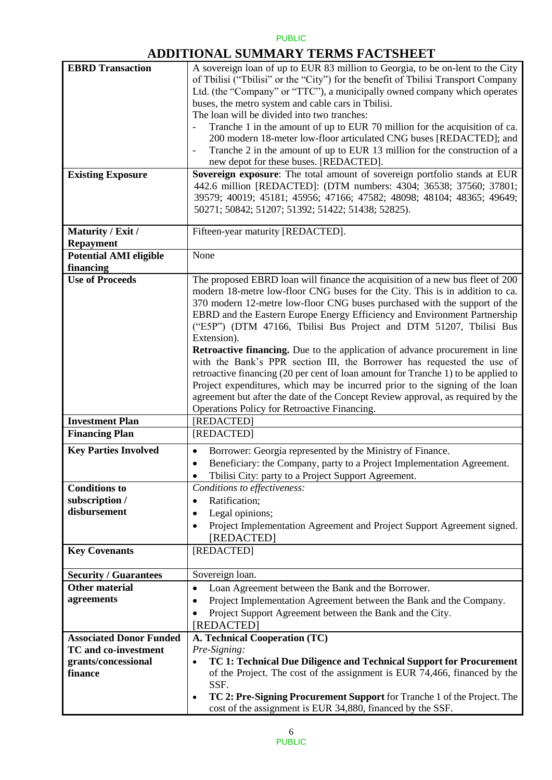## **ADDITIONAL SUMMARY TERMS FACTSHEET**

| <b>EBRD Transaction</b>        | A sovereign loan of up to EUR 83 million to Georgia, to be on-lent to the City       |
|--------------------------------|--------------------------------------------------------------------------------------|
|                                | of Tbilisi ("Tbilisi" or the "City") for the benefit of Tbilisi Transport Company    |
|                                | Ltd. (the "Company" or "TTC"), a municipally owned company which operates            |
|                                | buses, the metro system and cable cars in Tbilisi.                                   |
|                                | The loan will be divided into two tranches:                                          |
|                                |                                                                                      |
|                                | Tranche 1 in the amount of up to EUR 70 million for the acquisition of ca.           |
|                                | 200 modern 18-meter low-floor articulated CNG buses [REDACTED]; and                  |
|                                | Tranche 2 in the amount of up to EUR 13 million for the construction of a            |
|                                | new depot for these buses. [REDACTED].                                               |
| <b>Existing Exposure</b>       | Sovereign exposure: The total amount of sovereign portfolio stands at EUR            |
|                                | 442.6 million [REDACTED]: (DTM numbers: 4304; 36538; 37560; 37801;                   |
|                                |                                                                                      |
|                                | 39579; 40019; 45181; 45956; 47166; 47582; 48098; 48104; 48365; 49649;                |
|                                | 50271; 50842; 51207; 51392; 51422; 51438; 52825).                                    |
|                                |                                                                                      |
| Maturity / Exit /              | Fifteen-year maturity [REDACTED].                                                    |
| <b>Repayment</b>               |                                                                                      |
| <b>Potential AMI eligible</b>  | None                                                                                 |
| financing                      |                                                                                      |
|                                |                                                                                      |
| <b>Use of Proceeds</b>         | The proposed EBRD loan will finance the acquisition of a new bus fleet of 200        |
|                                | modern 18-metre low-floor CNG buses for the City. This is in addition to ca.         |
|                                | 370 modern 12-metre low-floor CNG buses purchased with the support of the            |
|                                | EBRD and the Eastern Europe Energy Efficiency and Environment Partnership            |
|                                | ("E5P") (DTM 47166, Tbilisi Bus Project and DTM 51207, Tbilisi Bus                   |
|                                | Extension).                                                                          |
|                                |                                                                                      |
|                                | <b>Retroactive financing.</b> Due to the application of advance procurement in line  |
|                                | with the Bank's PPR section III, the Borrower has requested the use of               |
|                                | retroactive financing (20 per cent of loan amount for Tranche 1) to be applied to    |
|                                | Project expenditures, which may be incurred prior to the signing of the loan         |
|                                | agreement but after the date of the Concept Review approval, as required by the      |
|                                | Operations Policy for Retroactive Financing.                                         |
| <b>Investment Plan</b>         | [REDACTED]                                                                           |
|                                | [REDACTED]                                                                           |
| <b>Financing Plan</b>          |                                                                                      |
| <b>Key Parties Involved</b>    | Borrower: Georgia represented by the Ministry of Finance.<br>$\bullet$               |
|                                | Beneficiary: the Company, party to a Project Implementation Agreement.<br>$\bullet$  |
|                                | Tbilisi City: party to a Project Support Agreement.                                  |
|                                |                                                                                      |
| <b>Conditions to</b>           | Conditions to effectiveness:                                                         |
| subscription /                 | Ratification;<br>$\bullet$                                                           |
| disbursement                   | Legal opinions;<br>$\bullet$                                                         |
|                                | Project Implementation Agreement and Project Support Agreement signed.               |
|                                | [REDACTED]                                                                           |
|                                |                                                                                      |
| <b>Key Covenants</b>           | [REDACTED]                                                                           |
|                                |                                                                                      |
| <b>Security / Guarantees</b>   | Sovereign loan.                                                                      |
| <b>Other material</b>          | Loan Agreement between the Bank and the Borrower.<br>$\bullet$                       |
| agreements                     | Project Implementation Agreement between the Bank and the Company.<br>$\bullet$      |
|                                | Project Support Agreement between the Bank and the City.                             |
|                                |                                                                                      |
|                                | [REDACTED]                                                                           |
| <b>Associated Donor Funded</b> | A. Technical Cooperation (TC)                                                        |
| <b>TC</b> and co-investment    | Pre-Signing:                                                                         |
| grants/concessional            | TC 1: Technical Due Diligence and Technical Support for Procurement<br>$\bullet$     |
| finance                        | of the Project. The cost of the assignment is EUR 74,466, financed by the            |
|                                |                                                                                      |
|                                | SSF.                                                                                 |
|                                | TC 2: Pre-Signing Procurement Support for Tranche 1 of the Project. The<br>$\bullet$ |
|                                | cost of the assignment is EUR 34,880, financed by the SSF.                           |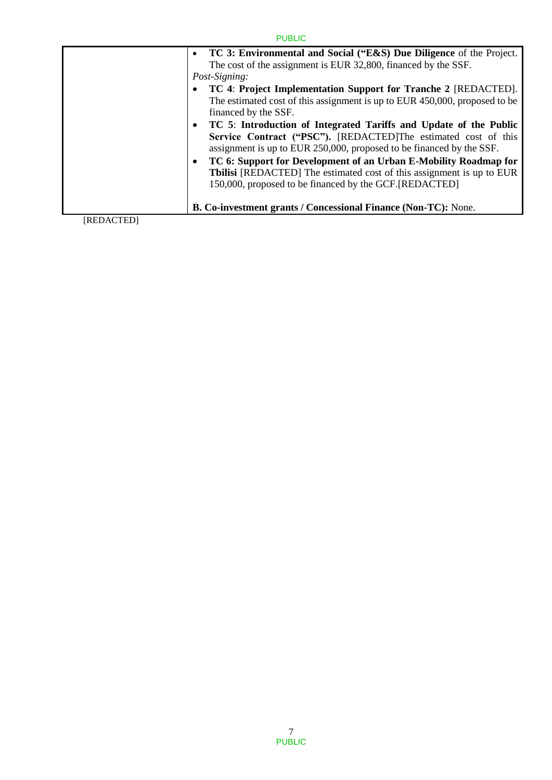|                                         | <b>PUBLIC</b>                                                                                                                                                                                                                                                                                                                                                                                                                                                                                                                                                                                                                                                                                                                                                                                                   |
|-----------------------------------------|-----------------------------------------------------------------------------------------------------------------------------------------------------------------------------------------------------------------------------------------------------------------------------------------------------------------------------------------------------------------------------------------------------------------------------------------------------------------------------------------------------------------------------------------------------------------------------------------------------------------------------------------------------------------------------------------------------------------------------------------------------------------------------------------------------------------|
| $\bullet$<br>Post-Signing:<br>$\bullet$ | TC 3: Environmental and Social ("E&S) Due Diligence of the Project.<br>The cost of the assignment is EUR 32,800, financed by the SSF.<br>TC 4: Project Implementation Support for Tranche 2 [REDACTED].<br>The estimated cost of this assignment is up to EUR 450,000, proposed to be<br>financed by the SSF.<br>• TC 5: Introduction of Integrated Tariffs and Update of the Public<br>Service Contract ("PSC"). [REDACTED]The estimated cost of this<br>assignment is up to EUR 250,000, proposed to be financed by the SSF.<br>TC 6: Support for Development of an Urban E-Mobility Roadmap for<br><b>Tbilisi</b> [REDACTED] The estimated cost of this assignment is up to EUR<br>150,000, proposed to be financed by the GCF. [REDACTED]<br>B. Co-investment grants / Concessional Finance (Non-TC): None. |
| <b>IDED ACTEDI</b>                      |                                                                                                                                                                                                                                                                                                                                                                                                                                                                                                                                                                                                                                                                                                                                                                                                                 |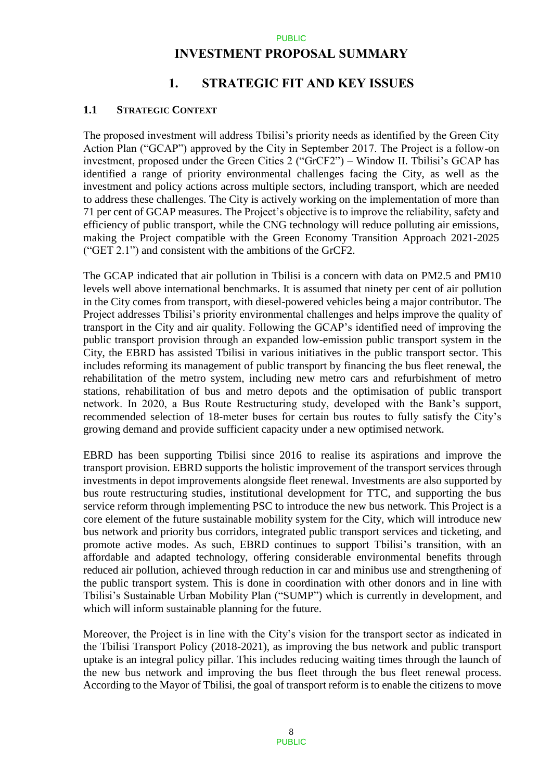### **INVESTMENT PROPOSAL SUMMARY**

## **1. STRATEGIC FIT AND KEY ISSUES**

### **1.1 STRATEGIC CONTEXT**

The proposed investment will address Tbilisi's priority needs as identified by the Green City Action Plan ("GCAP") approved by the City in September 2017. The Project is a follow-on investment, proposed under the Green Cities 2 ("GrCF2") – Window II. Tbilisi's GCAP has identified a range of priority environmental challenges facing the City, as well as the investment and policy actions across multiple sectors, including transport, which are needed to address these challenges. The City is actively working on the implementation of more than 71 per cent of GCAP measures. The Project's objective is to improve the reliability, safety and efficiency of public transport, while the CNG technology will reduce polluting air emissions, making the Project compatible with the Green Economy Transition Approach 2021-2025 ("GET 2.1") and consistent with the ambitions of the GrCF2.

The GCAP indicated that air pollution in Tbilisi is a concern with data on PM2.5 and PM10 levels well above international benchmarks. It is assumed that ninety per cent of air pollution in the City comes from transport, with diesel-powered vehicles being a major contributor. The Project addresses Tbilisi's priority environmental challenges and helps improve the quality of transport in the City and air quality. Following the GCAP's identified need of improving the public transport provision through an expanded low-emission public transport system in the City, the EBRD has assisted Tbilisi in various initiatives in the public transport sector. This includes reforming its management of public transport by financing the bus fleet renewal, the rehabilitation of the metro system, including new metro cars and refurbishment of metro stations, rehabilitation of bus and metro depots and the optimisation of public transport network. In 2020, a Bus Route Restructuring study, developed with the Bank's support, recommended selection of 18-meter buses for certain bus routes to fully satisfy the City's growing demand and provide sufficient capacity under a new optimised network.

EBRD has been supporting Tbilisi since 2016 to realise its aspirations and improve the transport provision. EBRD supports the holistic improvement of the transport services through investments in depot improvements alongside fleet renewal. Investments are also supported by bus route restructuring studies, institutional development for TTC, and supporting the bus service reform through implementing PSC to introduce the new bus network. This Project is a core element of the future sustainable mobility system for the City, which will introduce new bus network and priority bus corridors, integrated public transport services and ticketing, and promote active modes. As such, EBRD continues to support Tbilisi's transition, with an affordable and adapted technology, offering considerable environmental benefits through reduced air pollution, achieved through reduction in car and minibus use and strengthening of the public transport system. This is done in coordination with other donors and in line with Tbilisi's Sustainable Urban Mobility Plan ("SUMP") which is currently in development, and which will inform sustainable planning for the future.

Moreover, the Project is in line with the City's vision for the transport sector as indicated in the Tbilisi Transport Policy (2018-2021), as improving the bus network and public transport uptake is an integral policy pillar. This includes reducing waiting times through the launch of the new bus network and improving the bus fleet through the bus fleet renewal process. According to the Mayor of Tbilisi, the goal of transport reform is to enable the citizens to move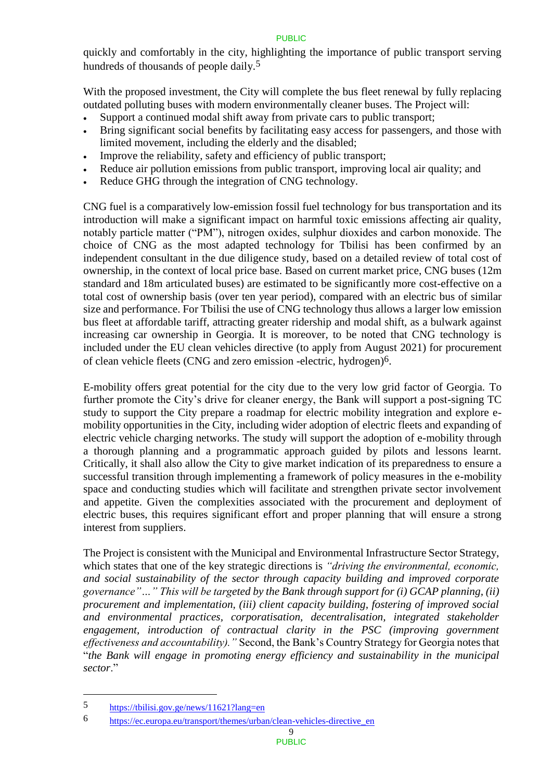quickly and comfortably in the city, highlighting the importance of public transport serving hundreds of thousands of people daily.<sup>5</sup>

With the proposed investment, the City will complete the bus fleet renewal by fully replacing outdated polluting buses with modern environmentally cleaner buses. The Project will:

- Support a continued modal shift away from private cars to public transport;
- Bring significant social benefits by facilitating easy access for passengers, and those with limited movement, including the elderly and the disabled;
- Improve the reliability, safety and efficiency of public transport;
- Reduce air pollution emissions from public transport, improving local air quality; and
- Reduce GHG through the integration of CNG technology.

CNG fuel is a comparatively low-emission fossil fuel technology for bus transportation and its introduction will make a significant impact on harmful toxic emissions affecting air quality, notably particle matter ("PM"), nitrogen oxides, sulphur dioxides and carbon monoxide. The choice of CNG as the most adapted technology for Tbilisi has been confirmed by an independent consultant in the due diligence study, based on a detailed review of total cost of ownership, in the context of local price base. Based on current market price, CNG buses (12m standard and 18m articulated buses) are estimated to be significantly more cost-effective on a total cost of ownership basis (over ten year period), compared with an electric bus of similar size and performance. For Tbilisi the use of CNG technology thus allows a larger low emission bus fleet at affordable tariff, attracting greater ridership and modal shift, as a bulwark against increasing car ownership in Georgia. It is moreover, to be noted that CNG technology is included under the EU clean vehicles directive (to apply from August 2021) for procurement of clean vehicle fleets (CNG and zero emission -electric, hydrogen)6.

E-mobility offers great potential for the city due to the very low grid factor of Georgia. To further promote the City's drive for cleaner energy, the Bank will support a post-signing TC study to support the City prepare a roadmap for electric mobility integration and explore emobility opportunities in the City, including wider adoption of electric fleets and expanding of electric vehicle charging networks. The study will support the adoption of e-mobility through a thorough planning and a programmatic approach guided by pilots and lessons learnt. Critically, it shall also allow the City to give market indication of its preparedness to ensure a successful transition through implementing a framework of policy measures in the e-mobility space and conducting studies which will facilitate and strengthen private sector involvement and appetite. Given the complexities associated with the procurement and deployment of electric buses, this requires significant effort and proper planning that will ensure a strong interest from suppliers.

The Project is consistent with the Municipal and Environmental Infrastructure Sector Strategy, which states that one of the key strategic directions is *"driving the environmental, economic, and social sustainability of the sector through capacity building and improved corporate governance"…" This will be targeted by the Bank through support for (i) GCAP planning, (ii) procurement and implementation, (iii) client capacity building, fostering of improved social and environmental practices, corporatisation, decentralisation, integrated stakeholder engagement, introduction of contractual clarity in the PSC (improving government effectiveness and accountability)."* Second, the Bank's Country Strategy for Georgia notes that "*the Bank will engage in promoting energy efficiency and sustainability in the municipal sector*."

 $\overline{a}$ 

<sup>5</sup> <https://tbilisi.gov.ge/news/11621?lang=en>

<sup>6</sup> [https://ec.europa.eu/transport/themes/urban/clean-vehicles-directive\\_en](https://ec.europa.eu/transport/themes/urban/clean-vehicles-directive_en)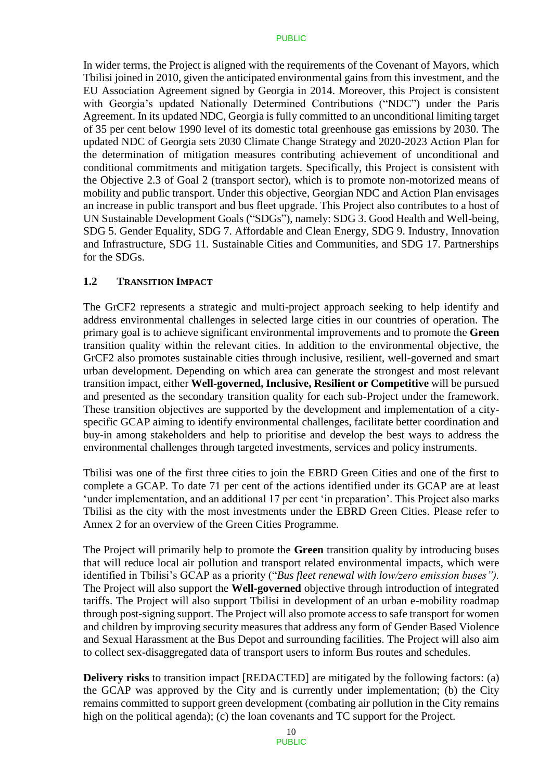In wider terms, the Project is aligned with the requirements of the Covenant of Mayors, which Tbilisi joined in 2010, given the anticipated environmental gains from this investment, and the EU Association Agreement signed by Georgia in 2014. Moreover, this Project is consistent with Georgia's updated Nationally Determined Contributions ("NDC") under the Paris Agreement. In its updated NDC, Georgia is fully committed to an unconditional limiting target of 35 per cent below 1990 level of its domestic total greenhouse gas emissions by 2030. The updated NDC of Georgia sets 2030 Climate Change Strategy and 2020-2023 Action Plan for the determination of mitigation measures contributing achievement of unconditional and conditional commitments and mitigation targets. Specifically, this Project is consistent with the Objective 2.3 of Goal 2 (transport sector), which is to promote non-motorized means of mobility and public transport. Under this objective, Georgian NDC and Action Plan envisages an increase in public transport and bus fleet upgrade. This Project also contributes to a host of UN Sustainable Development Goals ("SDGs"), namely: SDG 3. Good Health and Well-being, SDG 5. Gender Equality, SDG 7. Affordable and Clean Energy, SDG 9. Industry, Innovation and Infrastructure, SDG 11. Sustainable Cities and Communities, and SDG 17. Partnerships for the SDGs.

### **1.2 TRANSITION IMPACT**

The GrCF2 represents a strategic and multi-project approach seeking to help identify and address environmental challenges in selected large cities in our countries of operation. The primary goal is to achieve significant environmental improvements and to promote the **Green** transition quality within the relevant cities. In addition to the environmental objective, the GrCF2 also promotes sustainable cities through inclusive, resilient, well-governed and smart urban development. Depending on which area can generate the strongest and most relevant transition impact, either **Well-governed, Inclusive, Resilient or Competitive** will be pursued and presented as the secondary transition quality for each sub-Project under the framework. These transition objectives are supported by the development and implementation of a cityspecific GCAP aiming to identify environmental challenges, facilitate better coordination and buy-in among stakeholders and help to prioritise and develop the best ways to address the environmental challenges through targeted investments, services and policy instruments.

Tbilisi was one of the first three cities to join the EBRD Green Cities and one of the first to complete a GCAP. To date 71 per cent of the actions identified under its GCAP are at least 'under implementation, and an additional 17 per cent 'in preparation'. This Project also marks Tbilisi as the city with the most investments under the EBRD Green Cities. Please refer to Annex 2 for an overview of the Green Cities Programme.

The Project will primarily help to promote the **Green** transition quality by introducing buses that will reduce local air pollution and transport related environmental impacts, which were identified in Tbilisi's GCAP as a priority ("*Bus fleet renewal with low/zero emission buses").*  The Project will also support the **Well-governed** objective through introduction of integrated tariffs. The Project will also support Tbilisi in development of an urban e-mobility roadmap through post-signing support. The Project will also promote access to safe transport for women and children by improving security measures that address any form of Gender Based Violence and Sexual Harassment at the Bus Depot and surrounding facilities. The Project will also aim to collect sex-disaggregated data of transport users to inform Bus routes and schedules.

**Delivery risks** to transition impact [REDACTED] are mitigated by the following factors: (a) the GCAP was approved by the City and is currently under implementation; (b) the City remains committed to support green development (combating air pollution in the City remains high on the political agenda); (c) the loan covenants and TC support for the Project.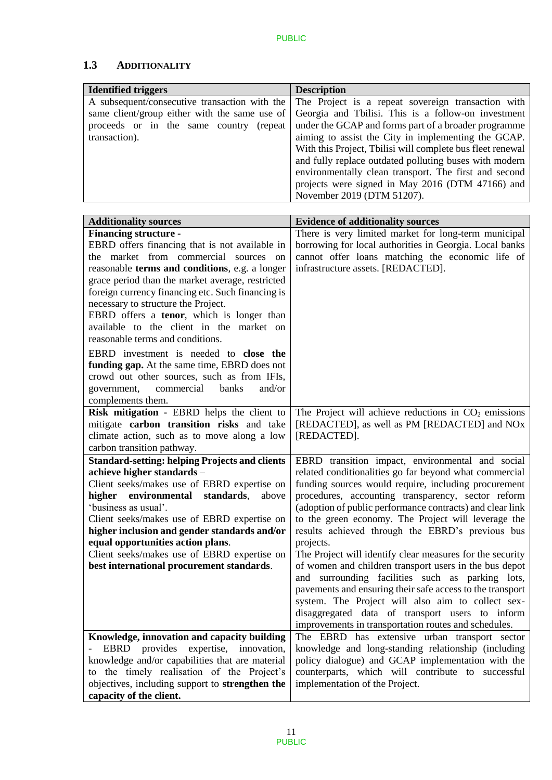## **1.3 ADDITIONALITY**

| <b>Identified triggers</b>                    | <b>Description</b>                                                                               |
|-----------------------------------------------|--------------------------------------------------------------------------------------------------|
|                                               | A subsequent/consecutive transaction with the The Project is a repeat sovereign transaction with |
| same client/group either with the same use of | Georgia and Tbilisi. This is a follow-on investment                                              |
| proceeds or in the same country (repeat       | under the GCAP and forms part of a broader programme                                             |
| transaction).                                 | aiming to assist the City in implementing the GCAP.                                              |
|                                               | With this Project, Tbilisi will complete bus fleet renewal                                       |
|                                               | and fully replace outdated polluting buses with modern                                           |
|                                               | environmentally clean transport. The first and second                                            |
|                                               | projects were signed in May 2016 (DTM 47166) and                                                 |
|                                               | November 2019 (DTM 51207).                                                                       |

| <b>Additionality sources</b>                                                      | <b>Evidence of additionality sources</b>                                                                |  |  |
|-----------------------------------------------------------------------------------|---------------------------------------------------------------------------------------------------------|--|--|
| <b>Financing structure -</b>                                                      | There is very limited market for long-term municipal                                                    |  |  |
| EBRD offers financing that is not available in                                    | borrowing for local authorities in Georgia. Local banks                                                 |  |  |
| the market from commercial sources on                                             | cannot offer loans matching the economic life of                                                        |  |  |
| reasonable terms and conditions, e.g. a longer                                    | infrastructure assets. [REDACTED].                                                                      |  |  |
| grace period than the market average, restricted                                  |                                                                                                         |  |  |
| foreign currency financing etc. Such financing is                                 |                                                                                                         |  |  |
| necessary to structure the Project.                                               |                                                                                                         |  |  |
| EBRD offers a tenor, which is longer than                                         |                                                                                                         |  |  |
| available to the client in the market on                                          |                                                                                                         |  |  |
| reasonable terms and conditions.                                                  |                                                                                                         |  |  |
| EBRD investment is needed to close the                                            |                                                                                                         |  |  |
| funding gap. At the same time, EBRD does not                                      |                                                                                                         |  |  |
| crowd out other sources, such as from IFIs,                                       |                                                                                                         |  |  |
| commercial<br>banks<br>and/or<br>government,                                      |                                                                                                         |  |  |
| complements them.                                                                 |                                                                                                         |  |  |
| Risk mitigation - EBRD helps the client to                                        | The Project will achieve reductions in $CO2$ emissions                                                  |  |  |
| mitigate carbon transition risks and take                                         | [REDACTED], as well as PM [REDACTED] and NOx                                                            |  |  |
| climate action, such as to move along a low                                       | [REDACTED].                                                                                             |  |  |
| carbon transition pathway.                                                        |                                                                                                         |  |  |
| <b>Standard-setting: helping Projects and clients</b>                             | EBRD transition impact, environmental and social                                                        |  |  |
| achieve higher standards -                                                        | related conditionalities go far beyond what commercial                                                  |  |  |
| Client seeks/makes use of EBRD expertise on                                       | funding sources would require, including procurement                                                    |  |  |
| environmental<br>standards,<br>higher<br>above                                    | procedures, accounting transparency, sector reform                                                      |  |  |
| 'business as usual'.                                                              | (adoption of public performance contracts) and clear link                                               |  |  |
| Client seeks/makes use of EBRD expertise on                                       | to the green economy. The Project will leverage the<br>results achieved through the EBRD's previous bus |  |  |
| higher inclusion and gender standards and/or<br>equal opportunities action plans. | projects.                                                                                               |  |  |
| Client seeks/makes use of EBRD expertise on                                       | The Project will identify clear measures for the security                                               |  |  |
| best international procurement standards.                                         | of women and children transport users in the bus depot                                                  |  |  |
|                                                                                   | and surrounding facilities such as parking lots,                                                        |  |  |
|                                                                                   | pavements and ensuring their safe access to the transport                                               |  |  |
|                                                                                   | system. The Project will also aim to collect sex-                                                       |  |  |
|                                                                                   | disaggregated data of transport users to inform                                                         |  |  |
|                                                                                   | improvements in transportation routes and schedules.                                                    |  |  |
| Knowledge, innovation and capacity building                                       | The EBRD has extensive urban transport sector                                                           |  |  |
| EBRD provides expertise, innovation,                                              | knowledge and long-standing relationship (including                                                     |  |  |
| knowledge and/or capabilities that are material                                   | policy dialogue) and GCAP implementation with the                                                       |  |  |
| to the timely realisation of the Project's                                        | counterparts, which will contribute to successful                                                       |  |  |
| objectives, including support to strengthen the                                   | implementation of the Project.                                                                          |  |  |
| capacity of the client.                                                           |                                                                                                         |  |  |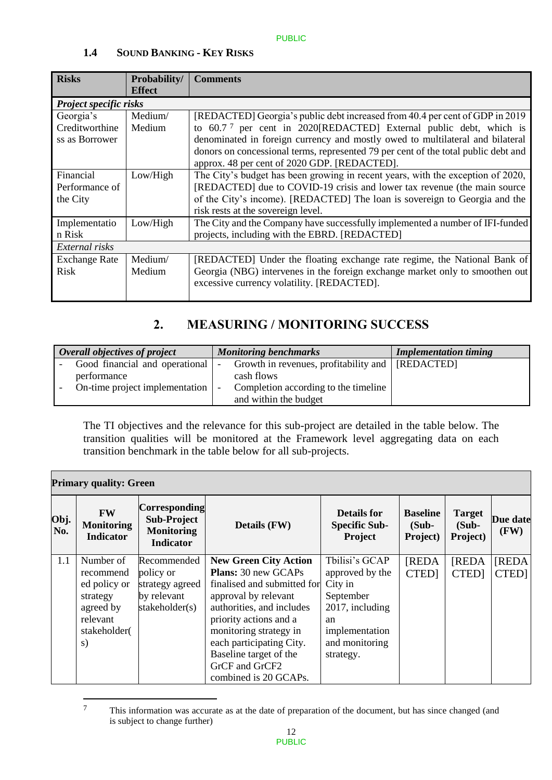| <b>Risks</b>           | Probability/  | <b>Comments</b>                                                                    |
|------------------------|---------------|------------------------------------------------------------------------------------|
|                        | <b>Effect</b> |                                                                                    |
| Project specific risks |               |                                                                                    |
| Georgia's              | Medium/       | [REDACTED] Georgia's public debt increased from 40.4 per cent of GDP in 2019       |
| Creditworthine         | Medium        | to 60.7 <sup>7</sup> per cent in 2020[REDACTED] External public debt, which is     |
| ss as Borrower         |               | denominated in foreign currency and mostly owed to multilateral and bilateral      |
|                        |               | donors on concessional terms, represented 79 per cent of the total public debt and |
|                        |               | approx. 48 per cent of 2020 GDP. [REDACTED].                                       |
| Financial              | Low/High      | The City's budget has been growing in recent years, with the exception of 2020,    |
| Performance of         |               | [REDACTED] due to COVID-19 crisis and lower tax revenue (the main source           |
| the City               |               | of the City's income). [REDACTED] The loan is sovereign to Georgia and the         |
|                        |               | risk rests at the sovereign level.                                                 |
| Implementatio          | Low/High      | The City and the Company have successfully implemented a number of IFI-funded      |
| n Risk                 |               | projects, including with the EBRD. [REDACTED]                                      |
| External risks         |               |                                                                                    |
| <b>Exchange Rate</b>   | Medium/       | [REDACTED] Under the floating exchange rate regime, the National Bank of           |
| <b>Risk</b>            | Medium        | Georgia (NBG) intervenes in the foreign exchange market only to smoothen out       |
|                        |               | excessive currency volatility. [REDACTED].                                         |
|                        |               |                                                                                    |

## **1.4 SOUND BANKING - KEY RISKS**

# **2. MEASURING / MONITORING SUCCESS**

| Overall objectives of project  | <b>Monitoring benchmarks</b>                       | <b>Implementation timing</b> |
|--------------------------------|----------------------------------------------------|------------------------------|
| Good financial and operational | Growth in revenues, profitability and   [REDACTED] |                              |
| performance                    | cash flows                                         |                              |
| On-time project implementation | Completion according to the timeline               |                              |
|                                | and within the budget                              |                              |

The TI objectives and the relevance for this sub-project are detailed in the table below. The transition qualities will be monitored at the Framework level aggregating data on each transition benchmark in the table below for all sub-projects.

| <b>Primary quality: Green</b> |                                                    |                                                                                     |                              |                                                |                                         |                                       |                         |  |  |
|-------------------------------|----------------------------------------------------|-------------------------------------------------------------------------------------|------------------------------|------------------------------------------------|-----------------------------------------|---------------------------------------|-------------------------|--|--|
| Obj.<br>No.                   | <b>FW</b><br><b>Monitoring</b><br><b>Indicator</b> | <b>Corresponding</b><br><b>Sub-Project</b><br><b>Monitoring</b><br><b>Indicator</b> | Details (FW)                 | Details for<br><b>Specific Sub-</b><br>Project | <b>Baseline</b><br>$(Sub -$<br>Project) | <b>Target</b><br>$(Sub -$<br>Project) | <b>Due date</b><br>(FW) |  |  |
| 1.1                           | Number of                                          | Recommended                                                                         | <b>New Green City Action</b> | Tbilisi's GCAP                                 | <b>[REDA</b>                            | <b>[REDA</b>                          | <b>[REDA</b>            |  |  |
|                               | recommend                                          | policy or                                                                           | <b>Plans:</b> 30 new GCAPs   | approved by the                                | <b>CTED</b>                             | <b>CTED</b>                           | CTED]                   |  |  |
|                               | ed policy or                                       | strategy agreed                                                                     | finalised and submitted for  | City in                                        |                                         |                                       |                         |  |  |
|                               | strategy                                           | by relevant                                                                         | approval by relevant         | September                                      |                                         |                                       |                         |  |  |
|                               | agreed by                                          | stakeholder(s)                                                                      | authorities, and includes    | 2017, including                                |                                         |                                       |                         |  |  |
|                               | relevant                                           |                                                                                     | priority actions and a       | an                                             |                                         |                                       |                         |  |  |
|                               | stakeholder(                                       |                                                                                     | monitoring strategy in       | implementation                                 |                                         |                                       |                         |  |  |
|                               | S)                                                 |                                                                                     | each participating City.     | and monitoring                                 |                                         |                                       |                         |  |  |
|                               |                                                    |                                                                                     | Baseline target of the       | strategy.                                      |                                         |                                       |                         |  |  |
|                               |                                                    |                                                                                     | GrCF and GrCF2               |                                                |                                         |                                       |                         |  |  |
|                               |                                                    |                                                                                     | combined is 20 GCAPs.        |                                                |                                         |                                       |                         |  |  |

 $\overline{7}$ This information was accurate as at the date of preparation of the document, but has since changed (and is subject to change further)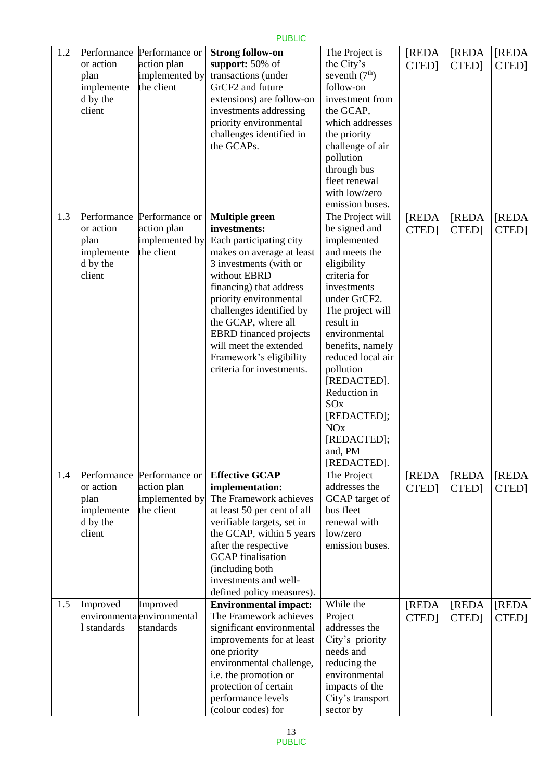| 1.2 | Performance<br>or action<br>plan<br>implemente<br>d by the<br>client | Performance or<br>action plan<br>implemented by<br>the client | <b>Strong follow-on</b><br>support: 50% of<br>transactions (under<br>GrCF2 and future<br>extensions) are follow-on<br>investments addressing<br>priority environmental<br>challenges identified in<br>the GCAPs.                                                                                                                                                   | The Project is<br>the City's<br>seventh $(7th)$<br>follow-on<br>investment from<br>the GCAP,<br>which addresses<br>the priority<br>challenge of air<br>pollution<br>through bus<br>fleet renewal<br>with low/zero<br>emission buses.                                                                                                                     | [REDA<br>CTED]        | [REDA<br>CTED]        | <b>[REDA</b><br>CTED] |
|-----|----------------------------------------------------------------------|---------------------------------------------------------------|--------------------------------------------------------------------------------------------------------------------------------------------------------------------------------------------------------------------------------------------------------------------------------------------------------------------------------------------------------------------|----------------------------------------------------------------------------------------------------------------------------------------------------------------------------------------------------------------------------------------------------------------------------------------------------------------------------------------------------------|-----------------------|-----------------------|-----------------------|
| 1.3 | Performance<br>or action<br>plan<br>implemente<br>d by the<br>client | Performance or<br>action plan<br>implemented by<br>the client | <b>Multiple green</b><br>investments:<br>Each participating city<br>makes on average at least<br>3 investments (with or<br>without EBRD<br>financing) that address<br>priority environmental<br>challenges identified by<br>the GCAP, where all<br><b>EBRD</b> financed projects<br>will meet the extended<br>Framework's eligibility<br>criteria for investments. | The Project will<br>be signed and<br>implemented<br>and meets the<br>eligibility<br>criteria for<br>investments<br>under GrCF2.<br>The project will<br>result in<br>environmental<br>benefits, namely<br>reduced local air<br>pollution<br>[REDACTED].<br>Reduction in<br>SO <sub>x</sub><br>[REDACTED];<br>NOx<br>[REDACTED];<br>and, PM<br>[REDACTED]. | <b>[REDA</b><br>CTED] | <b>[REDA</b><br>CTED] | [REDA<br>CTED]        |
| 1.4 | Performance<br>or action<br>plan<br>implemente<br>d by the<br>client | Performance or<br>action plan<br>implemented by<br>the client | <b>Effective GCAP</b><br>implementation:<br>The Framework achieves<br>at least 50 per cent of all<br>verifiable targets, set in<br>the GCAP, within 5 years<br>after the respective<br><b>GCAP</b> finalisation<br>(including both<br>investments and well-<br>defined policy measures).                                                                           | The Project<br>addresses the<br>GCAP target of<br>bus fleet<br>renewal with<br>low/zero<br>emission buses.                                                                                                                                                                                                                                               | <b>[REDA</b><br>CTED] | [REDA<br>CTED]        | [REDA<br>CTED]        |
| 1.5 | Improved<br>1 standards                                              | Improved<br>environmenta environmental<br>standards           | <b>Environmental impact:</b><br>The Framework achieves<br>significant environmental<br>improvements for at least<br>one priority<br>environmental challenge,<br>i.e. the promotion or<br>protection of certain<br>performance levels<br>(colour codes) for                                                                                                         | While the<br>Project<br>addresses the<br>City's priority<br>needs and<br>reducing the<br>environmental<br>impacts of the<br>City's transport<br>sector by                                                                                                                                                                                                | [REDA<br>CTED]        | [REDA<br><b>CTED</b>  | [REDA<br>CTED]        |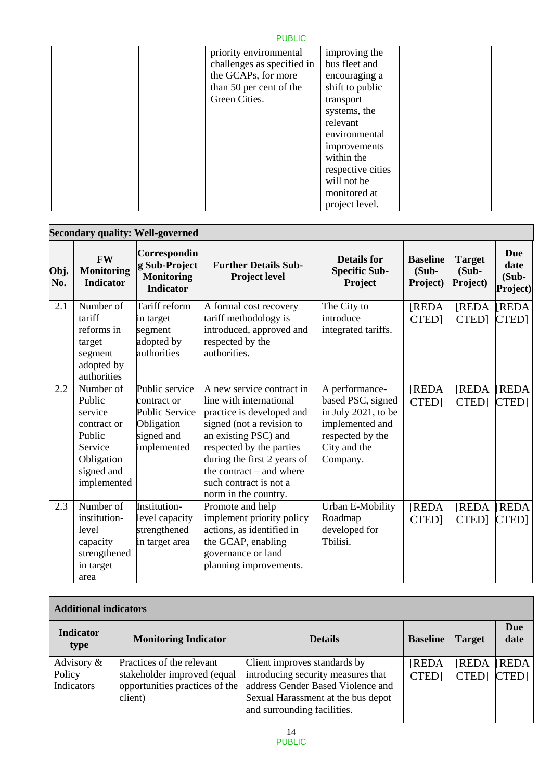|  | priority environmental<br>challenges as specified in<br>the GCAPs, for more<br>than 50 per cent of the | improving the<br>bus fleet and<br>encouraging a<br>shift to public |  |  |
|--|--------------------------------------------------------------------------------------------------------|--------------------------------------------------------------------|--|--|
|  | Green Cities.                                                                                          | transport                                                          |  |  |
|  |                                                                                                        | systems, the                                                       |  |  |
|  |                                                                                                        | relevant                                                           |  |  |
|  |                                                                                                        | environmental                                                      |  |  |
|  |                                                                                                        | improvements                                                       |  |  |
|  |                                                                                                        | within the                                                         |  |  |
|  |                                                                                                        | respective cities                                                  |  |  |
|  |                                                                                                        | will not be                                                        |  |  |
|  |                                                                                                        | monitored at                                                       |  |  |
|  |                                                                                                        | project level.                                                     |  |  |

| <b>Secondary quality: Well-governed</b> |                                                                                                               |                                                                                                   |                                                                                                                                                                                                                                                                                   |                                                                                                                               |                                         |                                    |                                            |
|-----------------------------------------|---------------------------------------------------------------------------------------------------------------|---------------------------------------------------------------------------------------------------|-----------------------------------------------------------------------------------------------------------------------------------------------------------------------------------------------------------------------------------------------------------------------------------|-------------------------------------------------------------------------------------------------------------------------------|-----------------------------------------|------------------------------------|--------------------------------------------|
| Obj.<br>No.                             | <b>FW</b><br><b>Monitoring</b><br><b>Indicator</b>                                                            | Correspondin<br>g Sub-Project<br><b>Monitoring</b><br><b>Indicator</b>                            | <b>Further Details Sub-</b><br>Project level                                                                                                                                                                                                                                      | <b>Details for</b><br><b>Specific Sub-</b><br>Project                                                                         | <b>Baseline</b><br>$(Sub -$<br>Project) | <b>Target</b><br>(Sub-<br>Project) | <b>Due</b><br>date<br>$(Sub -$<br>Project) |
| 2.1                                     | Number of<br>tariff<br>reforms in<br>target<br>segment<br>adopted by<br>authorities                           | Tariff reform<br>in target<br>segment<br>adopted by<br>authorities                                | A formal cost recovery<br>tariff methodology is<br>introduced, approved and<br>respected by the<br>authorities.                                                                                                                                                                   | The City to<br>introduce<br>integrated tariffs.                                                                               | <b>[REDA</b><br>CTED]                   | <b>[REDA</b><br>CTED]              | <b>REDA</b><br>CTED]                       |
| 2.2                                     | Number of<br>Public<br>service<br>contract or<br>Public<br>Service<br>Obligation<br>signed and<br>implemented | Public service<br>contract or<br><b>Public Service</b><br>Obligation<br>signed and<br>implemented | A new service contract in<br>line with international<br>practice is developed and<br>signed (not a revision to<br>an existing PSC) and<br>respected by the parties<br>during the first 2 years of<br>the contract $-$ and where<br>such contract is not a<br>norm in the country. | A performance-<br>based PSC, signed<br>in July 2021, to be<br>implemented and<br>respected by the<br>City and the<br>Company. | <b>[REDA</b><br>CTED]                   | <b>[REDA</b><br>CTED]              | <b>REDA</b><br>CTED]                       |
| 2.3                                     | Number of<br>institution-<br>level<br>capacity<br>strengthened<br>in target<br>area                           | Institution-<br>level capacity<br>strengthened<br>in target area                                  | Promote and help<br>implement priority policy<br>actions, as identified in<br>the GCAP, enabling<br>governance or land<br>planning improvements.                                                                                                                                  | Urban E-Mobility<br>Roadmap<br>developed for<br>Tbilisi.                                                                      | <b>[REDA</b><br>CTED]                   | <b>[REDA</b><br><b>CTED</b>        | <b>REDA</b><br>CTED]                       |

| <b>Additional indicators</b>       |                                                                                                       |                                                                                                                                                                              |                       |                       |                            |
|------------------------------------|-------------------------------------------------------------------------------------------------------|------------------------------------------------------------------------------------------------------------------------------------------------------------------------------|-----------------------|-----------------------|----------------------------|
| <b>Indicator</b><br>type           | <b>Monitoring Indicator</b>                                                                           | <b>Details</b>                                                                                                                                                               | <b>Baseline</b>       | <b>Target</b>         | Due<br>date                |
| Advisory &<br>Policy<br>Indicators | Practices of the relevant<br>stakeholder improved (equal<br>opportunities practices of the<br>client) | Client improves standards by<br>introducing security measures that<br>address Gender Based Violence and<br>Sexual Harassment at the bus depot<br>and surrounding facilities. | <b>[REDA</b><br>CTED] | <b>[REDA</b><br>CTED] | <b>REDA</b><br><b>CTED</b> |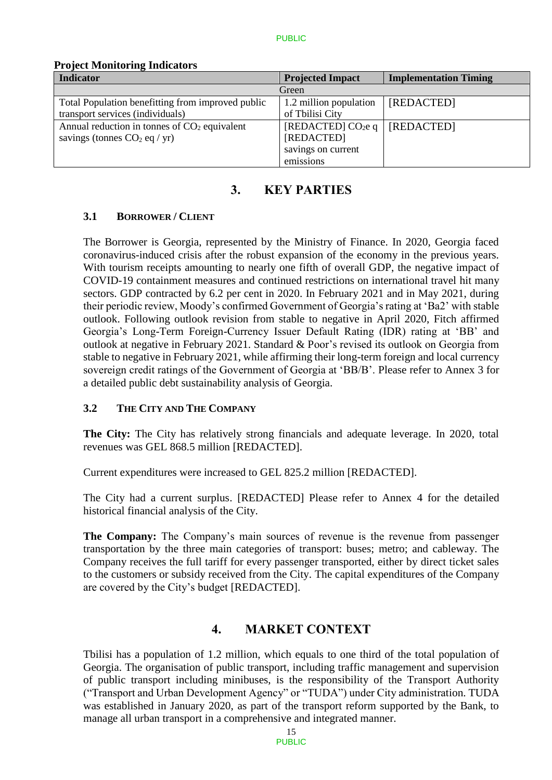| 110, confundamento interestu                      |                         |                              |  |  |  |
|---------------------------------------------------|-------------------------|------------------------------|--|--|--|
| <b>Indicator</b>                                  | <b>Projected Impact</b> | <b>Implementation Timing</b> |  |  |  |
|                                                   | Green                   |                              |  |  |  |
| Total Population benefitting from improved public | 1.2 million population  | [REDACTED]                   |  |  |  |
| transport services (individuals)                  | of Tbilisi City         |                              |  |  |  |
| Annual reduction in tonnes of $CO2$ equivalent    | [REDACTED] $CO2e q$     | [REDACTED]                   |  |  |  |
| savings (tonnes $CO2$ eq / yr)                    | [REDACTED]              |                              |  |  |  |
|                                                   | savings on current      |                              |  |  |  |
|                                                   | emissions               |                              |  |  |  |

#### **Project Monitoring Indicators**

## **3. KEY PARTIES**

### **3.1 BORROWER / CLIENT**

The Borrower is Georgia, represented by the Ministry of Finance. In 2020, Georgia faced coronavirus-induced crisis after the robust expansion of the economy in the previous years. With tourism receipts amounting to nearly one fifth of overall GDP, the negative impact of COVID-19 containment measures and continued restrictions on international travel hit many sectors. GDP contracted by 6.2 per cent in 2020. In February 2021 and in May 2021, during their periodic review, Moody's confirmed Government of Georgia's rating at 'Ba2' with stable outlook. Following outlook revision from stable to negative in April 2020, Fitch affirmed Georgia's Long-Term Foreign-Currency Issuer Default Rating (IDR) rating at 'BB' and outlook at negative in February 2021. Standard & Poor's revised its outlook on Georgia from stable to negative in February 2021, while affirming their long-term foreign and local currency sovereign credit ratings of the Government of Georgia at 'BB/B'. Please refer to Annex 3 for a detailed public debt sustainability analysis of Georgia.

## **3.2 THE CITY AND THE COMPANY**

**The City:** The City has relatively strong financials and adequate leverage. In 2020, total revenues was GEL 868.5 million [REDACTED].

Current expenditures were increased to GEL 825.2 million [REDACTED].

The City had a current surplus. [REDACTED] Please refer to Annex 4 for the detailed historical financial analysis of the City.

**The Company:** The Company's main sources of revenue is the revenue from passenger transportation by the three main categories of transport: buses; metro; and cableway. The Company receives the full tariff for every passenger transported, either by direct ticket sales to the customers or subsidy received from the City. The capital expenditures of the Company are covered by the City's budget [REDACTED].

## **4. MARKET CONTEXT**

Tbilisi has a population of 1.2 million, which equals to one third of the total population of Georgia. The organisation of public transport, including traffic management and supervision of public transport including minibuses, is the responsibility of the Transport Authority ("Transport and Urban Development Agency" or "TUDA") under City administration. TUDA was established in January 2020, as part of the transport reform supported by the Bank, to manage all urban transport in a comprehensive and integrated manner.

> 15 PUBLIC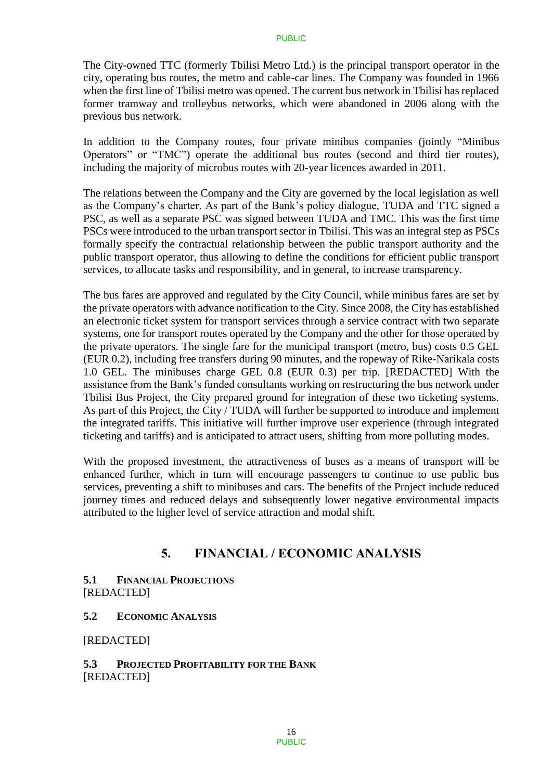The City-owned TTC (formerly Tbilisi Metro Ltd.) is the principal transport operator in the city, operating bus routes, the metro and cable-car lines. The Company was founded in 1966 when the first line of Tbilisi metro was opened. The current bus network in Tbilisi has replaced former tramway and trolleybus networks, which were abandoned in 2006 along with the previous bus network.

In addition to the Company routes, four private minibus companies (jointly "Minibus Operators" or "TMC") operate the additional bus routes (second and third tier routes), including the majority of microbus routes with 20-year licences awarded in 2011.

The relations between the Company and the City are governed by the local legislation as well as the Company's charter. As part of the Bank's policy dialogue, TUDA and TTC signed a PSC, as well as a separate PSC was signed between TUDA and TMC. This was the first time PSCs were introduced to the urban transport sector in Tbilisi. This was an integral step as PSCs formally specify the contractual relationship between the public transport authority and the public transport operator, thus allowing to define the conditions for efficient public transport services, to allocate tasks and responsibility, and in general, to increase transparency.

The bus fares are approved and regulated by the City Council, while minibus fares are set by the private operators with advance notification to the City. Since 2008, the City has established an electronic ticket system for transport services through a service contract with two separate systems, one for transport routes operated by the Company and the other for those operated by the private operators. The single fare for the municipal transport (metro, bus) costs 0.5 GEL (EUR 0.2), including free transfers during 90 minutes, and the ropeway of Rike-Narikala costs 1.0 GEL. The minibuses charge GEL 0.8 (EUR 0.3) per trip. [REDACTED] With the assistance from the Bank's funded consultants working on restructuring the bus network under Tbilisi Bus Project, the City prepared ground for integration of these two ticketing systems. As part of this Project, the City / TUDA will further be supported to introduce and implement the integrated tariffs. This initiative will further improve user experience (through integrated ticketing and tariffs) and is anticipated to attract users, shifting from more polluting modes.

With the proposed investment, the attractiveness of buses as a means of transport will be enhanced further, which in turn will encourage passengers to continue to use public bus services, preventing a shift to minibuses and cars. The benefits of the Project include reduced journey times and reduced delays and subsequently lower negative environmental impacts attributed to the higher level of service attraction and modal shift.

## **5. FINANCIAL / ECONOMIC ANALYSIS**

#### **5.1 FINANCIAL PROJECTIONS**  [REDACTED]

### **5.2 ECONOMIC ANALYSIS**

#### [REDACTED]

### **5.3 PROJECTED PROFITABILITY FOR THE BANK** [REDACTED]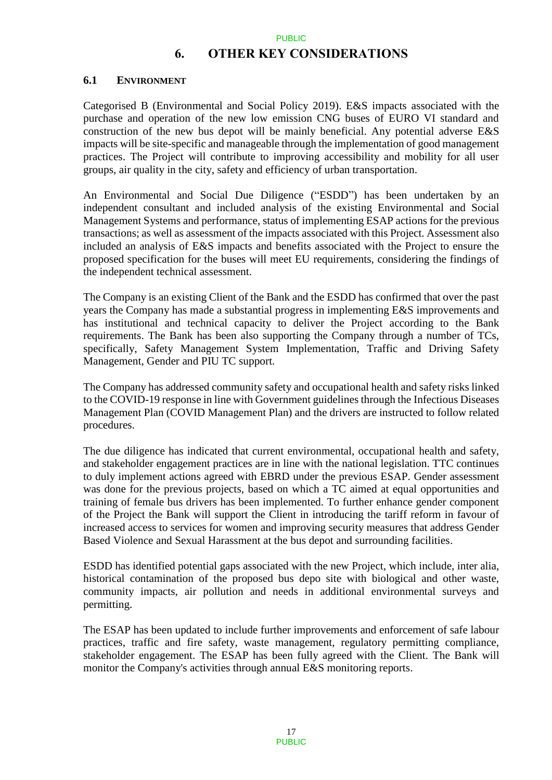## **6. OTHER KEY CONSIDERATIONS**

### **6.1 ENVIRONMENT**

Categorised B (Environmental and Social Policy 2019). E&S impacts associated with the purchase and operation of the new low emission CNG buses of EURO VI standard and construction of the new bus depot will be mainly beneficial. Any potential adverse E&S impacts will be site-specific and manageable through the implementation of good management practices. The Project will contribute to improving accessibility and mobility for all user groups, air quality in the city, safety and efficiency of urban transportation.

An Environmental and Social Due Diligence ("ESDD") has been undertaken by an independent consultant and included analysis of the existing Environmental and Social Management Systems and performance, status of implementing ESAP actions for the previous transactions; as well as assessment of the impacts associated with this Project. Assessment also included an analysis of E&S impacts and benefits associated with the Project to ensure the proposed specification for the buses will meet EU requirements, considering the findings of the independent technical assessment.

The Company is an existing Client of the Bank and the ESDD has confirmed that over the past years the Company has made a substantial progress in implementing E&S improvements and has institutional and technical capacity to deliver the Project according to the Bank requirements. The Bank has been also supporting the Company through a number of TCs, specifically, Safety Management System Implementation, Traffic and Driving Safety Management, Gender and PIU TC support.

The Company has addressed community safety and occupational health and safety risks linked to the COVID-19 response in line with Government guidelines through the Infectious Diseases Management Plan (COVID Management Plan) and the drivers are instructed to follow related procedures.

The due diligence has indicated that current environmental, occupational health and safety, and stakeholder engagement practices are in line with the national legislation. TTC continues to duly implement actions agreed with EBRD under the previous ESAP. Gender assessment was done for the previous projects, based on which a TC aimed at equal opportunities and training of female bus drivers has been implemented. To further enhance gender component of the Project the Bank will support the Client in introducing the tariff reform in favour of increased access to services for women and improving security measures that address Gender Based Violence and Sexual Harassment at the bus depot and surrounding facilities.

ESDD has identified potential gaps associated with the new Project, which include, inter alia, historical contamination of the proposed bus depo site with biological and other waste, community impacts, air pollution and needs in additional environmental surveys and permitting.

The ESAP has been updated to include further improvements and enforcement of safe labour practices, traffic and fire safety, waste management, regulatory permitting compliance, stakeholder engagement. The ESAP has been fully agreed with the Client. The Bank will monitor the Company's activities through annual E&S monitoring reports.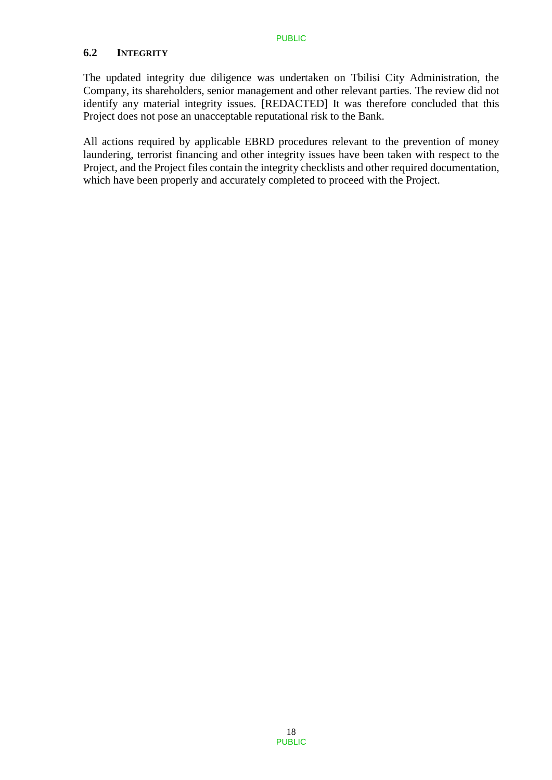### **6.2 INTEGRITY**

The updated integrity due diligence was undertaken on Tbilisi City Administration, the Company, its shareholders, senior management and other relevant parties. The review did not identify any material integrity issues. [REDACTED] It was therefore concluded that this Project does not pose an unacceptable reputational risk to the Bank.

All actions required by applicable EBRD procedures relevant to the prevention of money laundering, terrorist financing and other integrity issues have been taken with respect to the Project, and the Project files contain the integrity checklists and other required documentation, which have been properly and accurately completed to proceed with the Project.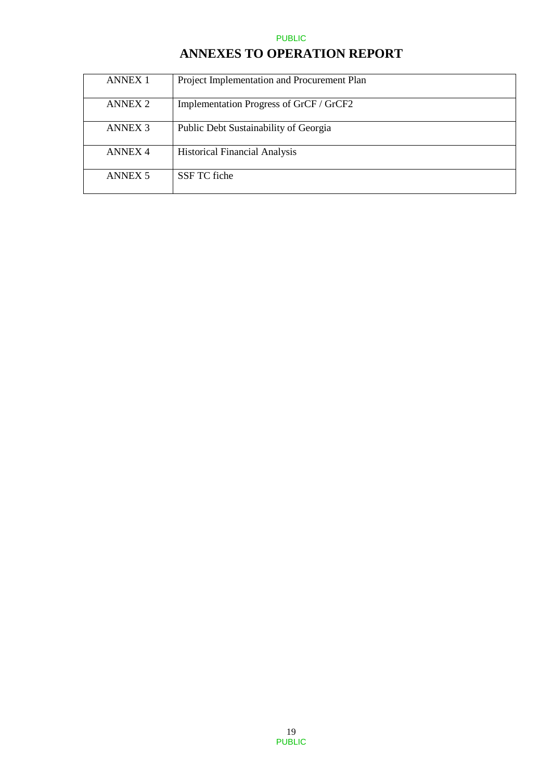# **ANNEXES TO OPERATION REPORT**

| <b>ANNEX 1</b>     | Project Implementation and Procurement Plan |
|--------------------|---------------------------------------------|
| ANNEX <sub>2</sub> | Implementation Progress of GrCF / GrCF2     |
| <b>ANNEX 3</b>     | Public Debt Sustainability of Georgia       |
| <b>ANNEX 4</b>     | <b>Historical Financial Analysis</b>        |
| <b>ANNEX 5</b>     | SSF TC fiche                                |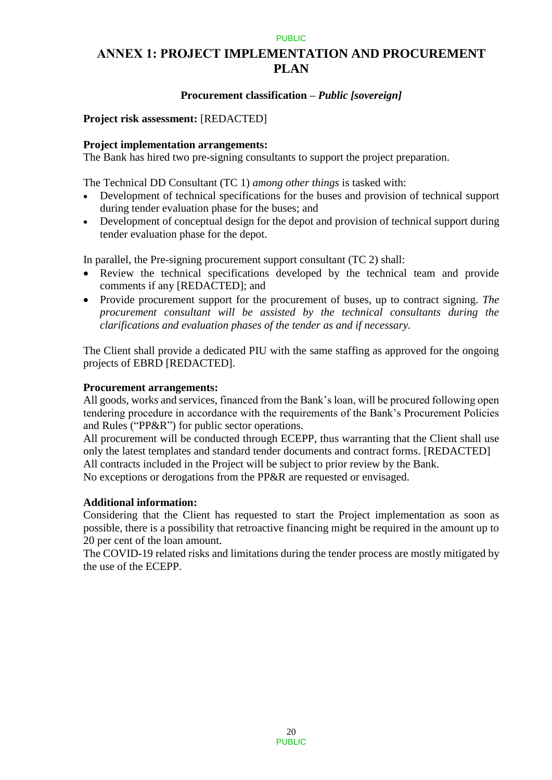## **ANNEX 1: PROJECT IMPLEMENTATION AND PROCUREMENT PLAN**

### **Procurement classification –** *Public [sovereign]*

### **Project risk assessment:** [REDACTED]

### **Project implementation arrangements:**

The Bank has hired two pre-signing consultants to support the project preparation.

The Technical DD Consultant (TC 1) *among other things* is tasked with:

- Development of technical specifications for the buses and provision of technical support during tender evaluation phase for the buses; and
- Development of conceptual design for the depot and provision of technical support during tender evaluation phase for the depot.

In parallel, the Pre-signing procurement support consultant (TC 2) shall:

- Review the technical specifications developed by the technical team and provide comments if any [REDACTED]; and
- Provide procurement support for the procurement of buses, up to contract signing. *The procurement consultant will be assisted by the technical consultants during the clarifications and evaluation phases of the tender as and if necessary.*

The Client shall provide a dedicated PIU with the same staffing as approved for the ongoing projects of EBRD [REDACTED].

#### **Procurement arrangements:**

All goods, works and services, financed from the Bank's loan, will be procured following open tendering procedure in accordance with the requirements of the Bank's Procurement Policies and Rules ("PP&R") for public sector operations.

All procurement will be conducted through ECEPP, thus warranting that the Client shall use only the latest templates and standard tender documents and contract forms. [REDACTED] All contracts included in the Project will be subject to prior review by the Bank.

No exceptions or derogations from the PP&R are requested or envisaged.

### **Additional information:**

Considering that the Client has requested to start the Project implementation as soon as possible, there is a possibility that retroactive financing might be required in the amount up to 20 per cent of the loan amount.

The COVID-19 related risks and limitations during the tender process are mostly mitigated by the use of the ECEPP.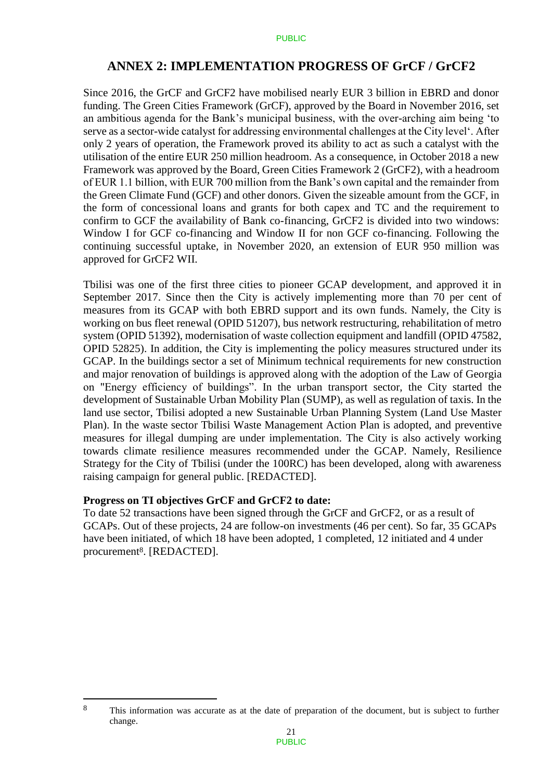### **ANNEX 2: IMPLEMENTATION PROGRESS OF GrCF / GrCF2**

Since 2016, the GrCF and GrCF2 have mobilised nearly EUR 3 billion in EBRD and donor funding. The Green Cities Framework (GrCF), approved by the Board in November 2016, set an ambitious agenda for the Bank's municipal business, with the over-arching aim being 'to serve as a sector-wide catalyst for addressing environmental challenges at the City level'. After only 2 years of operation, the Framework proved its ability to act as such a catalyst with the utilisation of the entire EUR 250 million headroom. As a consequence, in October 2018 a new Framework was approved by the Board, Green Cities Framework 2 (GrCF2), with a headroom of EUR 1.1 billion, with EUR 700 million from the Bank's own capital and the remainder from the Green Climate Fund (GCF) and other donors. Given the sizeable amount from the GCF, in the form of concessional loans and grants for both capex and TC and the requirement to confirm to GCF the availability of Bank co-financing, GrCF2 is divided into two windows: Window I for GCF co-financing and Window II for non GCF co-financing. Following the continuing successful uptake, in November 2020, an extension of EUR 950 million was approved for GrCF2 WII.

Tbilisi was one of the first three cities to pioneer GCAP development, and approved it in September 2017. Since then the City is actively implementing more than 70 per cent of measures from its GCAP with both EBRD support and its own funds. Namely, the City is working on bus fleet renewal (OPID 51207), bus network restructuring, rehabilitation of metro system (OPID 51392), modernisation of waste collection equipment and landfill (OPID 47582, OPID 52825). In addition, the City is implementing the policy measures structured under its GCAP. In the buildings sector a set of Minimum technical requirements for new construction and major renovation of buildings is approved along with the adoption of the Law of Georgia on "Energy efficiency of buildings". In the urban transport sector, the City started the development of Sustainable Urban Mobility Plan (SUMP), as well as regulation of taxis. In the land use sector, Tbilisi adopted a new Sustainable Urban Planning System (Land Use Master Plan). In the waste sector Tbilisi Waste Management Action Plan is adopted, and preventive measures for illegal dumping are under implementation. The City is also actively working towards climate resilience measures recommended under the GCAP. Namely, Resilience Strategy for the City of Tbilisi (under the 100RC) has been developed, along with awareness raising campaign for general public. [REDACTED].

#### **Progress on TI objectives GrCF and GrCF2 to date:**

 $\overline{a}$ 

To date 52 transactions have been signed through the GrCF and GrCF2, or as a result of GCAPs. Out of these projects, 24 are follow-on investments (46 per cent). So far, 35 GCAPs have been initiated, of which 18 have been adopted, 1 completed, 12 initiated and 4 under procurement<sup>8</sup>. [REDACTED].

<sup>8</sup> This information was accurate as at the date of preparation of the document, but is subject to further change.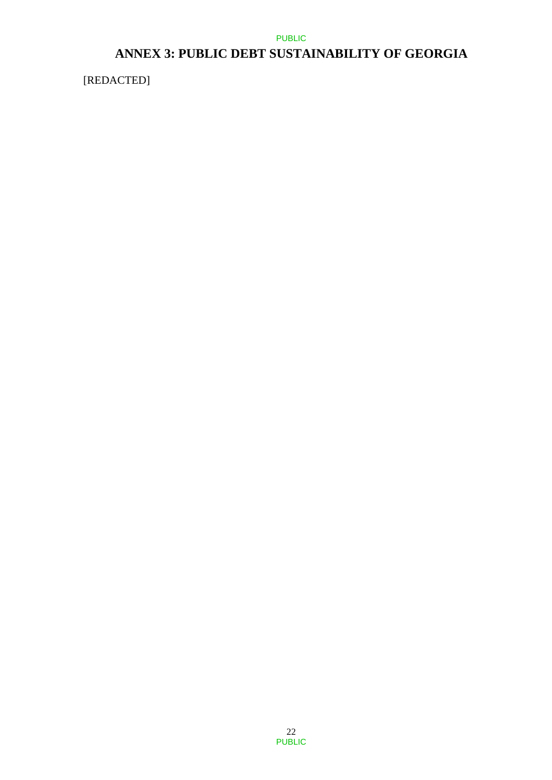# **ANNEX 3: PUBLIC DEBT SUSTAINABILITY OF GEORGIA**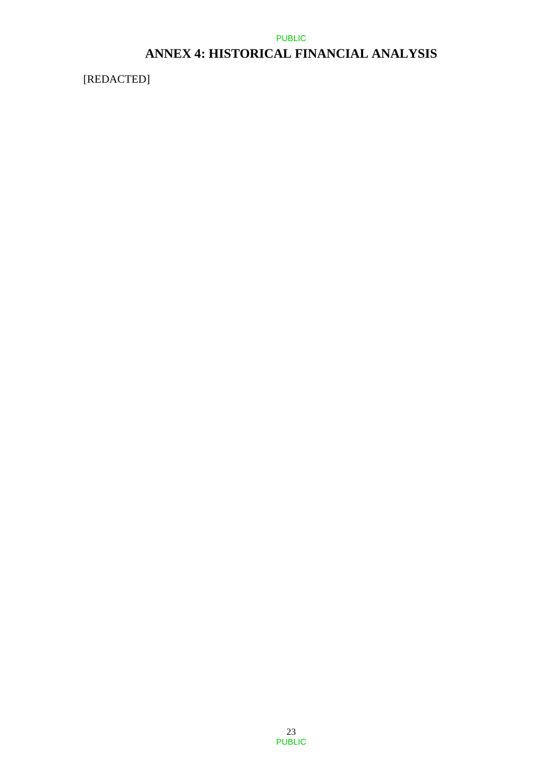# **ANNEX 4: HISTORICAL FINANCIAL ANALYSIS**